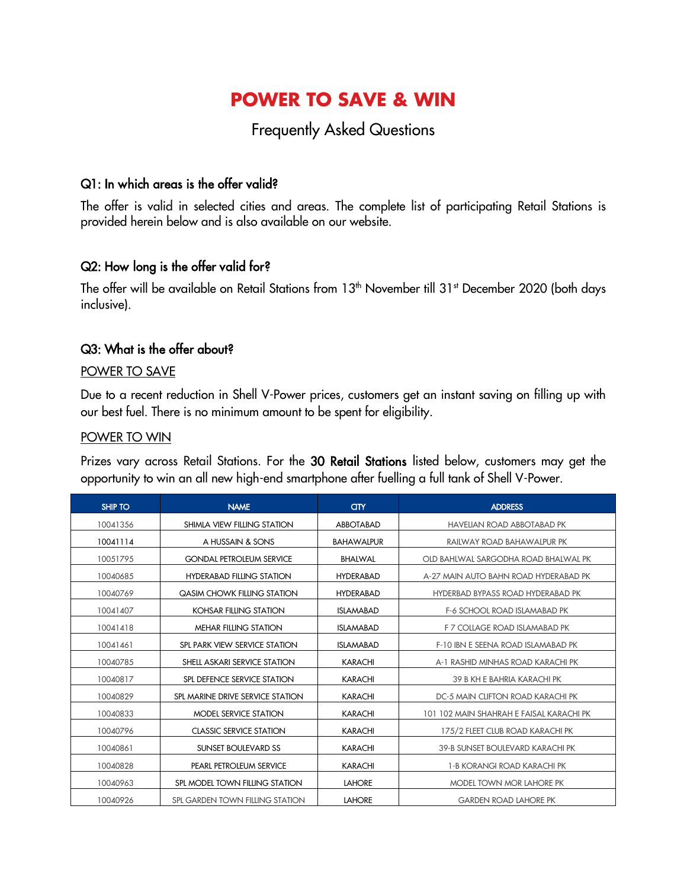# **POWER TO SAVE & WIN**

# Frequently Asked Questions

# Q1: In which areas is the offer valid?

The offer is valid in selected cities and areas. The complete list of participating Retail Stations is provided herein below and is also available on our website.

#### Q2: How long is the offer valid for?

The offer will be available on Retail Stations from 13<sup>th</sup> November till 31<sup>st</sup> December 2020 (both days inclusive).

#### Q3: What is the offer about?

#### POWER TO SAVE

Due to a recent reduction in Shell V-Power prices, customers get an instant saving on filling up with our best fuel. There is no minimum amount to be spent for eligibility.

#### POWER TO WIN

Prizes vary across Retail Stations. For the 30 Retail Stations listed below, customers may get the opportunity to win an all new high-end smartphone after fuelling a full tank of Shell V-Power.

| <b>SHIP TO</b> | <b>NAME</b>                        | <b>CITY</b>       | <b>ADDRESS</b>                           |
|----------------|------------------------------------|-------------------|------------------------------------------|
| 10041356       | SHIMLA VIEW FILLING STATION        | <b>ABBOTABAD</b>  | <b>HAVELIAN ROAD ABBOTABAD PK</b>        |
| 10041114       | A HUSSAIN & SONS                   | <b>BAHAWALPUR</b> | RAILWAY ROAD BAHAWALPUR PK               |
| 10051795       | <b>GONDAL PETROLEUM SERVICE</b>    | <b>BHALWAL</b>    | OID BAHLWAL SARGODHA ROAD BHALWAL PK     |
| 10040685       | <b>HYDERABAD FILLING STATION</b>   | <b>HYDERABAD</b>  | A-27 MAIN AUTO BAHN ROAD HYDERABAD PK    |
| 10040769       | <b>QASIM CHOWK FILLING STATION</b> | <b>HYDERABAD</b>  | HYDERBAD BYPASS ROAD HYDERABAD PK        |
| 10041407       | <b>KOHSAR FILLING STATION</b>      | <b>ISLAMABAD</b>  | <b>F-6 SCHOOL ROAD ISLAMABAD PK</b>      |
| 10041418       | <b>MEHAR FILLING STATION</b>       | <b>ISLAMABAD</b>  | F 7 COLLAGE ROAD ISLAMABAD PK            |
| 10041461       | SPL PARK VIEW SERVICE STATION      | <b>ISLAMABAD</b>  | F-10 IBN E SEENA ROAD ISLAMABAD PK       |
| 10040785       | SHELL ASKARI SERVICE STATION       | <b>KARACHI</b>    | A-1 RASHID MINHAS ROAD KARACHI PK        |
| 10040817       | SPL DEFENCE SERVICE STATION        | <b>KARACHI</b>    | 39 B KH E BAHRIA KARACHI PK              |
| 10040829       | SPL MARINE DRIVE SERVICE STATION   | <b>KARACHI</b>    | DC-5 MAIN CLIFTON ROAD KARACHI PK        |
| 10040833       | MODEL SERVICE STATION              | <b>KARACHI</b>    | 101 102 MAIN SHAHRAH E FAISAL KARACHI PK |
| 10040796       | <b>CLASSIC SERVICE STATION</b>     | <b>KARACHI</b>    | 175/2 FLEET CLUB ROAD KARACHI PK         |
| 10040861       | <b>SUNSET BOULEVARD SS</b>         | <b>KARACHI</b>    | 39-B SUNSET BOULEVARD KARACHI PK         |
| 10040828       | PEARL PETROLEUM SERVICE            | <b>KARACHI</b>    | 1-B KORANGI ROAD KARACHI PK              |
| 10040963       | SPL MODEL TOWN FILLING STATION     | <b>LAHORE</b>     | MODEL TOWN MOR LAHORE PK                 |
| 10040926       | SPL GARDEN TOWN FILLING STATION    | <b>LAHORE</b>     | <b>GARDEN ROAD LAHORE PK</b>             |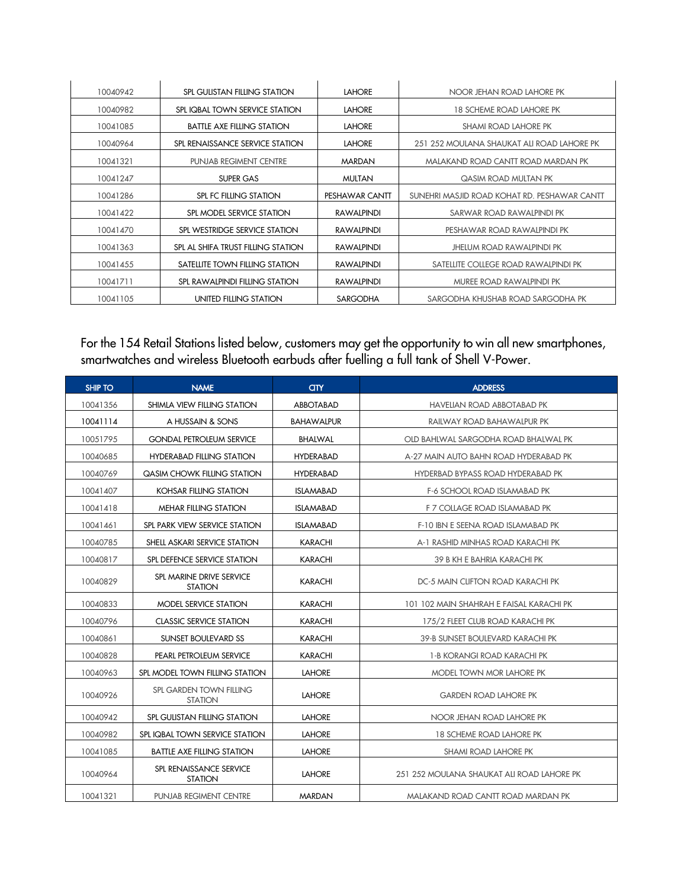| 10040942 | SPL GULISTAN FILLING STATION       | <b>LAHORE</b>  | NOOR JEHAN ROAD LAHORE PK                    |
|----------|------------------------------------|----------------|----------------------------------------------|
| 10040982 | SPL IQBAL TOWN SERVICE STATION     | <b>LAHORE</b>  | 18 SCHEME ROAD LAHORE PK                     |
| 10041085 | <b>BATTLE AXE FILLING STATION</b>  | <b>LAHORE</b>  | <b>SHAMI ROAD LAHORE PK</b>                  |
| 10040964 | SPL RENAISSANCE SERVICE STATION    | <b>LAHORE</b>  | 251 252 MOULANA SHAUKAT ALI ROAD LAHORE PK   |
| 10041321 | <b>PUNJAB REGIMENT CENTRE</b>      | <b>MARDAN</b>  | MALAKAND ROAD CANTT ROAD MARDAN PK           |
| 10041247 | SUPER GAS                          | <b>MULTAN</b>  | <b>QASIM ROAD MULTAN PK</b>                  |
| 10041286 | <b>SPL FC FILLING STATION</b>      | PESHAWAR CANTT | SUNEHRI MASJID ROAD KOHAT RD. PESHAWAR CANTT |
| 10041422 | SPL MODEL SERVICE STATION          | RAWALPINDI     | SARWAR ROAD RAWALPINDI PK                    |
| 10041470 | SPL WESTRIDGE SERVICE STATION      | RAWALPINDI     | PESHAWAR ROAD RAWALPINDI PK                  |
| 10041363 | SPL AL SHIFA TRUST FILLING STATION | RAWALPINDI     | JHELUM ROAD RAWALPINDI PK                    |
| 10041455 | SATELLITE TOWN FILLING STATION     | RAWALPINDI     | SATELLITE COLLEGE ROAD RAWALPINDI PK         |
| 10041711 | SPL RAWALPINDI FILLING STATION     | RAWALPINDI     | MUREE ROAD RAWALPINDI PK                     |
| 10041105 | UNITED FILLING STATION             | SARGODHA       | SARGODHA KHUSHAB ROAD SARGODHA PK            |

#### For the 154 Retail Stations listed below, customers may get the opportunity to win all new smartphones, smartwatches and wireless Bluetooth earbuds after fuelling a full tank of Shell V-Power.

| <b>SHIP TO</b> | <b>NAME</b>                                | <b>an</b>         | <b>ADDRESS</b>                             |
|----------------|--------------------------------------------|-------------------|--------------------------------------------|
| 10041356       | SHIMLA VIEW FILLING STATION                | ABBOTABAD         | <b>HAVELIAN ROAD ABBOTABAD PK</b>          |
| 10041114       | A HUSSAIN & SONS                           | <b>BAHAWALPUR</b> | RAILWAY ROAD BAHAWALPUR PK                 |
| 10051795       | <b>GONDAL PETROLEUM SERVICE</b>            | <b>BHALWAL</b>    | OLD BAHLWAL SARGODHA ROAD BHALWAL PK       |
| 10040685       | <b>HYDERABAD FILLING STATION</b>           | <b>HYDERABAD</b>  | A-27 MAIN AUTO BAHN ROAD HYDERABAD PK      |
| 10040769       | QASIM CHOWK FILLING STATION                | <b>HYDERABAD</b>  | HYDERBAD BYPASS ROAD HYDERABAD PK          |
| 10041407       | KOHSAR FILLING STATION                     | <b>ISLAMABAD</b>  | <b>F-6 SCHOOL ROAD ISLAMABAD PK</b>        |
| 10041418       | <b>MEHAR FILLING STATION</b>               | <b>ISLAMABAD</b>  | F 7 COLLAGE ROAD ISLAMABAD PK              |
| 10041461       | SPL PARK VIEW SERVICE STATION              | <b>ISLAMABAD</b>  | F-10 IBN E SEENA ROAD ISLAMABAD PK         |
| 10040785       | SHELL ASKARI SERVICE STATION               | <b>KARACHI</b>    | A-1 RASHID MINHAS ROAD KARACHI PK          |
| 10040817       | SPL DEFENCE SERVICE STATION                | <b>KARACHI</b>    | 39 B KH E BAHRIA KARACHI PK                |
| 10040829       | SPL MARINE DRIVE SERVICE<br><b>STATION</b> | KARACHI           | DC-5 MAIN CLIFTON ROAD KARACHI PK          |
| 10040833       | MODEL SERVICE STATION                      | <b>KARACHI</b>    | 101 102 MAIN SHAHRAH E FAISAL KARACHI PK   |
| 10040796       | <b>CLASSIC SERVICE STATION</b>             | <b>KARACHI</b>    | 175/2 FLEET CLUB ROAD KARACHI PK           |
| 10040861       | <b>SUNSET BOULEVARD SS</b>                 | <b>KARACHI</b>    | 39-B SUNSET BOULEVARD KARACHI PK           |
| 10040828       | PEARL PETROLEUM SERVICE                    | KARACHI           | 1-B KORANGI ROAD KARACHI PK                |
| 10040963       | SPL MODEL TOWN FILLING STATION             | <b>LAHORE</b>     | MODEL TOWN MOR LAHORE PK                   |
| 10040926       | SPL GARDEN TOWN FILLING<br><b>STATION</b>  | <b>LAHORE</b>     | <b>GARDEN ROAD LAHORE PK</b>               |
| 10040942       | SPL GULISTAN FILLING STATION               | <b>LAHORE</b>     | NOOR JEHAN ROAD LAHORE PK                  |
| 10040982       | SPL IQBAL TOWN SERVICE STATION             | <b>LAHORE</b>     | <b>18 SCHEME ROAD LAHORE PK</b>            |
| 10041085       | <b>BATTLE AXE FILLING STATION</b>          | <b>LAHORE</b>     | <b>SHAMI ROAD LAHORE PK</b>                |
| 10040964       | SPL RENAISSANCE SERVICE<br><b>STATION</b>  | <b>LAHORE</b>     | 251 252 MOULANA SHAUKAT ALI ROAD LAHORE PK |
| 10041321       | <b>PUNJAB REGIMENT CENTRE</b>              | <b>MARDAN</b>     | MALAKAND ROAD CANTT ROAD MARDAN PK         |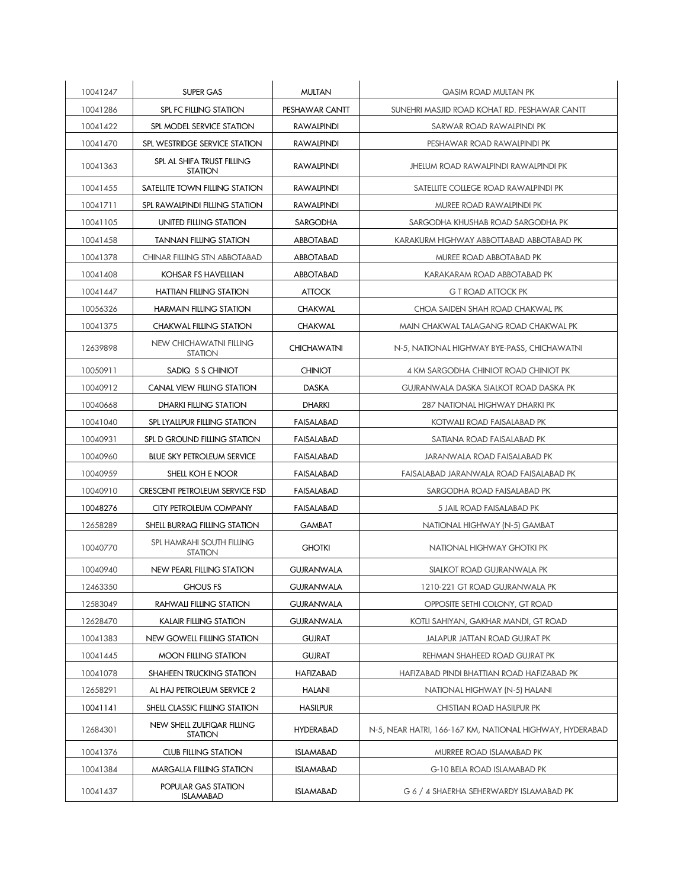| 10041247 | <b>SUPER GAS</b>                                 | <b>MULTAN</b>      | QASIM ROAD MULTAN PK                                     |
|----------|--------------------------------------------------|--------------------|----------------------------------------------------------|
| 10041286 | SPL FC FILLING STATION                           | PESHAWAR CANTT     | SUNEHRI MASJID ROAD KOHAT RD. PESHAWAR CANTT             |
| 10041422 | SPL MODEL SERVICE STATION                        | <b>RAWALPINDI</b>  | SARWAR ROAD RAWALPINDI PK                                |
| 10041470 | SPL WESTRIDGE SERVICE STATION                    | <b>RAWALPINDI</b>  | PESHAWAR ROAD RAWALPINDI PK                              |
| 10041363 | SPL AL SHIFA TRUST FILLING<br><b>STATION</b>     | <b>RAWALPINDI</b>  | JHELUM ROAD RAWALPINDI RAWALPINDI PK                     |
| 10041455 | SATELLITE TOWN FILLING STATION                   | <b>RAWALPINDI</b>  | SATELLITE COLLEGE ROAD RAWALPINDI PK                     |
| 10041711 | SPL RAWALPINDI FILLING STATION                   | <b>RAWALPINDI</b>  | MUREE ROAD RAWALPINDI PK                                 |
| 10041105 | UNITED FILLING STATION                           | <b>SARGODHA</b>    | SARGODHA KHUSHAB ROAD SARGODHA PK                        |
| 10041458 | <b>TANNAN FILLING STATION</b>                    | <b>ABBOTABAD</b>   | KARAKURM HIGHWAY ABBOTTABAD ABBOTABAD PK                 |
| 10041378 | <b>CHINAR FILLING STN ABBOTABAD</b>              | <b>ABBOTABAD</b>   | MUREE ROAD ABBOTABAD PK                                  |
| 10041408 | KOHSAR FS HAVELLIAN                              | ABBOTABAD          | KARAKARAM ROAD ABBOTABAD PK                              |
| 10041447 | <b>HATTIAN FILLING STATION</b>                   | <b>ATTOCK</b>      | G T ROAD ATTOCK PK                                       |
| 10056326 | HARMAIN FILLING STATION                          | <b>CHAKWAL</b>     | CHOA SAIDEN SHAH ROAD CHAKWAL PK                         |
| 10041375 | <b>CHAKWAL FILLING STATION</b>                   | CHAKWAL            | MAIN CHAKWAL TALAGANG ROAD CHAKWAL PK                    |
| 12639898 | <b>NEW CHICHAWATNI FILLING</b><br><b>STATION</b> | <b>CHICHAWATNI</b> | N-5, NATIONAL HIGHWAY BYE-PASS, CHICHAWATNI              |
| 10050911 | SADIQ S S CHINIOT                                | <b>CHINIOT</b>     | 4 KM SARGODHA CHINIOT ROAD CHINIOT PK                    |
| 10040912 | <b>CANAL VIEW FILLING STATION</b>                | <b>DASKA</b>       | GUJRANWALA DASKA SIALKOT ROAD DASKA PK                   |
| 10040668 | DHARKI FILLING STATION                           | <b>DHARKI</b>      | 287 NATIONAL HIGHWAY DHARKI PK                           |
| 10041040 | SPL LYALLPUR FILLING STATION                     | FAISALABAD         | KOTWALI ROAD FAISALABAD PK                               |
| 10040931 | SPL D GROUND FILLING STATION                     | <b>FAISALABAD</b>  | SATIANA ROAD FAISALABAD PK                               |
| 10040960 | <b>BLUE SKY PETROLEUM SERVICE</b>                | <b>FAISALABAD</b>  | JARANWALA ROAD FAISALABAD PK                             |
| 10040959 | SHELL KOH E NOOR                                 | FAISALABAD         | FAISALABAD JARANWALA ROAD FAISALABAD PK                  |
| 10040910 | <b>CRESCENT PETROLEUM SERVICE FSD</b>            | FAISALABAD         | SARGODHA ROAD FAISALABAD PK                              |
| 10048276 | CITY PETROLEUM COMPANY                           | FAISALABAD         | 5 JAIL ROAD FAISALABAD PK                                |
| 12658289 | SHELL BURRAQ FILLING STATION                     | GAMBAT             | NATIONAL HIGHWAY (N-5) GAMBAT                            |
| 10040770 | SPL HAMRAHI SOUTH FILLING<br><b>STATION</b>      | <b>GHOTKI</b>      | NATIONAL HIGHWAY GHOTKI PK                               |
| 10040940 | NEW PEARL FILLING STATION                        | <b>GUJRANWALA</b>  | SIALKOT ROAD GUJRANWALA PK                               |
| 12463350 | <b>GHOUS FS</b>                                  | GUJRANWALA         | 1210-221 GT ROAD GUJRANWALA PK                           |
| 12583049 | <b>RAHWALI FILLING STATION</b>                   | <b>GUJRANWALA</b>  | OPPOSITE SETHI COLONY, GT ROAD                           |
| 12628470 | KALAIR FILLING STATION                           | <b>GUJRANWALA</b>  | KOTLI SAHIYAN, GAKHAR MANDI, GT ROAD                     |
| 10041383 | NEW GOWELL FILLING STATION                       | <b>GUJRAT</b>      | JALAPUR JATTAN ROAD GUJRAT PK                            |
| 10041445 | <b>MOON FILLING STATION</b>                      | <b>GUJRAT</b>      | REHMAN SHAHEED ROAD GUJRAT PK                            |
| 10041078 | SHAHEEN TRUCKING STATION                         | <b>HAFIZABAD</b>   | HAFIZABAD PINDI BHATTIAN ROAD HAFIZABAD PK               |
| 12658291 | AL HAJ PETROLEUM SERVICE 2                       | <b>HALANI</b>      | NATIONAL HIGHWAY (N-5) HALANI                            |
| 10041141 | SHELL CLASSIC FILLING STATION                    | <b>HASILPUR</b>    | CHISTIAN ROAD HASILPUR PK                                |
| 12684301 | NEW SHELL ZULFIQAR FILLING<br><b>STATION</b>     | <b>HYDERABAD</b>   | N-5, NEAR HATRI, 166-167 KM, NATIONAL HIGHWAY, HYDERABAD |
| 10041376 | <b>CLUB FILLING STATION</b>                      | <b>ISLAMABAD</b>   | MURREE ROAD ISLAMABAD PK                                 |
| 10041384 | MARGALLA FILLING STATION                         | <b>ISLAMABAD</b>   | G-10 BELA ROAD ISLAMABAD PK                              |
| 10041437 | POPULAR GAS STATION<br><b>ISLAMABAD</b>          | <b>ISLAMABAD</b>   | G 6 / 4 SHAERHA SEHERWARDY ISLAMABAD PK                  |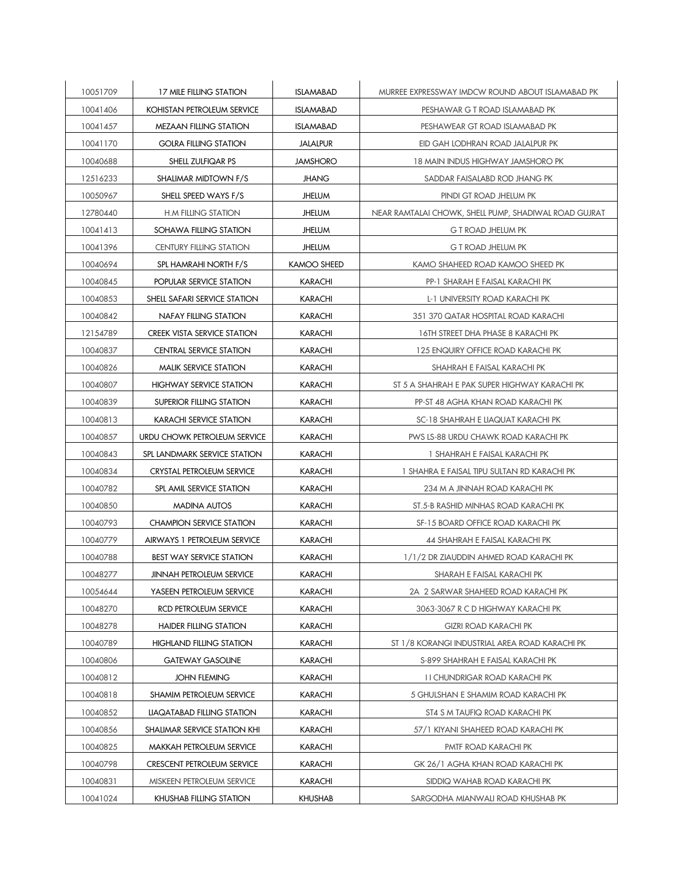| 10051709 | 17 MILE FILLING STATION            | <b>ISLAMABAD</b> | MURREE EXPRESSWAY IMDCW ROUND ABOUT ISLAMABAD PK      |
|----------|------------------------------------|------------------|-------------------------------------------------------|
| 10041406 | <b>KOHISTAN PETROLEUM SERVICE</b>  | <b>ISLAMABAD</b> | PESHAWAR G T ROAD ISLAMABAD PK                        |
| 10041457 | <b>MEZAAN FILLING STATION</b>      | <b>ISLAMABAD</b> | PESHAWEAR GT ROAD ISLAMABAD PK                        |
| 10041170 | <b>GOLRA FILLING STATION</b>       | <b>JALALPUR</b>  | EID GAH LODHRAN ROAD JALALPUR PK                      |
| 10040688 | SHELL ZULFIQAR PS                  | <b>JAMSHORO</b>  | <b>18 MAIN INDUS HIGHWAY JAMSHORO PK</b>              |
| 12516233 | SHALIMAR MIDTOWN F/S               | <b>JHANG</b>     | SADDAR FAISALABD ROD JHANG PK                         |
| 10050967 | SHELL SPEED WAYS F/S               | <b>JHELUM</b>    | PINDI GT ROAD JHELUM PK                               |
| 12780440 | <b>H.M FILLING STATION</b>         | <b>JHELUM</b>    | NEAR RAMTALAI CHOWK, SHELL PUMP, SHADIWAL ROAD GUJRAT |
| 10041413 | SOHAWA FILLING STATION             | <b>JHELUM</b>    | G T ROAD JHELUM PK                                    |
| 10041396 | <b>CENTURY FILLING STATION</b>     | <b>JHELUM</b>    | <b>G T ROAD JHELUM PK</b>                             |
| 10040694 | SPL HAMRAHI NORTH F/S              | KAMOO SHEED      | KAMO SHAHEED ROAD KAMOO SHEED PK                      |
| 10040845 | POPULAR SERVICE STATION            | <b>KARACHI</b>   | PP-1 SHARAH E FAISAL KARACHI PK                       |
| 10040853 | SHELL SAFARI SERVICE STATION       | KARACHI          | L-1 UNIVERSITY ROAD KARACHI PK                        |
| 10040842 | <b>NAFAY FILLING STATION</b>       | KARACHI          | 351 370 QATAR HOSPITAL ROAD KARACHI                   |
| 12154789 | <b>CREEK VISTA SERVICE STATION</b> | KARACHI          | 16TH STREET DHA PHASE 8 KARACHI PK                    |
| 10040837 | <b>CENTRAL SERVICE STATION</b>     | KARACHI          | 125 ENQUIRY OFFICE ROAD KARACHI PK                    |
| 10040826 | <b>MALIK SERVICE STATION</b>       | KARACHI          | SHAHRAH E FAISAL KARACHI PK                           |
| 10040807 | HIGHWAY SERVICE STATION            | <b>KARACHI</b>   | ST 5 A SHAHRAH E PAK SUPER HIGHWAY KARACHI PK         |
| 10040839 | SUPERIOR FILLING STATION           | <b>KARACHI</b>   | PP-ST 48 AGHA KHAN ROAD KARACHI PK                    |
| 10040813 | <b>KARACHI SERVICE STATION</b>     | KARACHI          | SC-18 SHAHRAH E LIAQUAT KARACHI PK                    |
| 10040857 | URDU CHOWK PETROLEUM SERVICE       | KARACHI          | PWS LS-88 URDU CHAWK ROAD KARACHI PK                  |
| 10040843 | SPL LANDMARK SERVICE STATION       | KARACHI          | 1 SHAHRAH E FAISAL KARACHI PK                         |
| 10040834 | CRYSTAL PETROLEUM SERVICE          | KARACHI          | 1 SHAHRA E FAISAL TIPU SULTAN RD KARACHI PK           |
| 10040782 | SPL AMIL SERVICE STATION           | KARACHI          | 234 M A JINNAH ROAD KARACHI PK                        |
| 10040850 | <b>MADINA AUTOS</b>                | KARACHI          | ST.5-B RASHID MINHAS ROAD KARACHI PK                  |
| 10040793 | <b>CHAMPION SERVICE STATION</b>    | KARACHI          | SF-15 BOARD OFFICE ROAD KARACHI PK                    |
| 10040779 | AIRWAYS 1 PETROLEUM SERVICE        | <b>KARACHI</b>   | 44 SHAHRAH E FAISAL KARACHI PK                        |
| 10040788 | <b>BEST WAY SERVICE STATION</b>    | <b>KARACHI</b>   | 1/1/2 DR ZIAUDDIN AHMED ROAD KARACHI PK               |
| 10048277 | <b>JINNAH PETROLEUM SERVICE</b>    | KARACHI          | SHARAH E FAISAL KARACHI PK                            |
| 10054644 | YASEEN PETROLEUM SERVICE           | <b>KARACHI</b>   | 2A 2 SARWAR SHAHEED ROAD KARACHI PK                   |
| 10048270 | RCD PETROLEUM SERVICE              | KARACHI          | 3063-3067 R C D HIGHWAY KARACHI PK                    |
| 10048278 | <b>HAIDER FILLING STATION</b>      | KARACHI          | <b>GIZRI ROAD KARACHI PK</b>                          |
| 10040789 | <b>HIGHLAND FILLING STATION</b>    | <b>KARACHI</b>   | ST 1/8 KORANGI INDUSTRIAL AREA ROAD KARACHI PK        |
| 10040806 | <b>GATEWAY GASOLINE</b>            | KARACHI          | S-899 SHAHRAH E FAISAL KARACHI PK                     |
| 10040812 | <b>JOHN FLEMING</b>                | KARACHI          | I I CHUNDRIGAR ROAD KARACHI PK                        |
| 10040818 | SHAMIM PETROLEUM SERVICE           | <b>KARACHI</b>   | 5 GHULSHAN E SHAMIM ROAD KARACHI PK                   |
| 10040852 | LIAQATABAD FILLING STATION         | <b>KARACHI</b>   | ST4 S M TAUFIQ ROAD KARACHI PK                        |
| 10040856 | SHALIMAR SERVICE STATION KHI       | KARACHI          | 57/1 KIYANI SHAHEED ROAD KARACHI PK                   |
| 10040825 | MAKKAH PETROLEUM SERVICE           | KARACHI          | PMTF ROAD KARACHI PK                                  |
| 10040798 | <b>CRESCENT PETROLEUM SERVICE</b>  | <b>KARACHI</b>   | GK 26/1 AGHA KHAN ROAD KARACHI PK                     |
| 10040831 | MISKEEN PETROLEUM SERVICE          | KARACHI          | SIDDIQ WAHAB ROAD KARACHI PK                          |
| 10041024 | KHUSHAB FILLING STATION            | <b>KHUSHAB</b>   | SARGODHA MIANWALI ROAD KHUSHAB PK                     |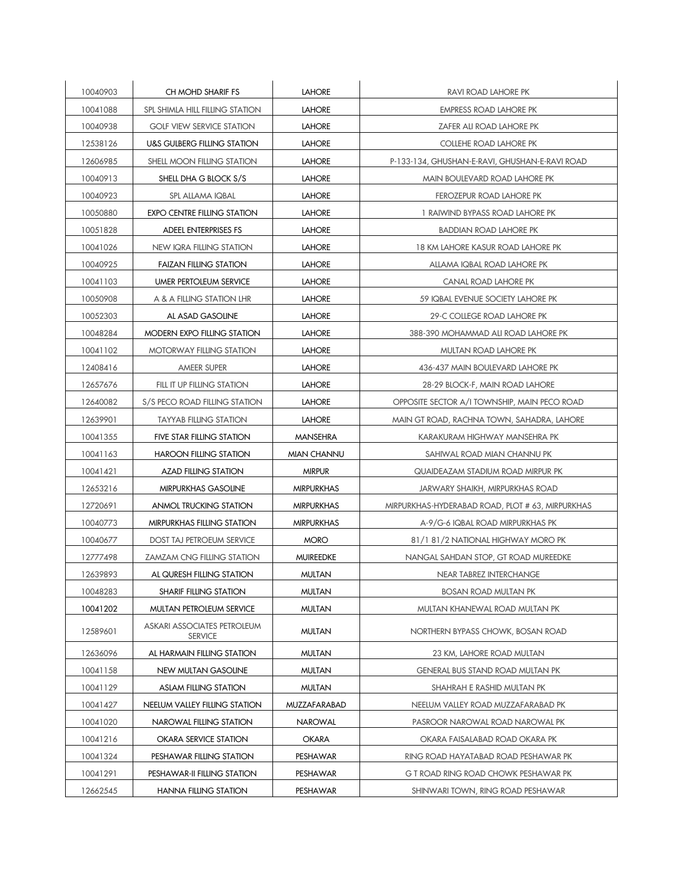| 10040903 | CH MOHD SHARIF FS                             | <b>LAHORE</b>     | <b>RAVI ROAD LAHORE PK</b>                       |
|----------|-----------------------------------------------|-------------------|--------------------------------------------------|
| 10041088 | SPL SHIMLA HILL FILLING STATION               | <b>LAHORE</b>     | <b>EMPRESS ROAD LAHORE PK</b>                    |
| 10040938 | <b>GOLF VIEW SERVICE STATION</b>              | <b>LAHORE</b>     | ZAFER ALI ROAD LAHORE PK                         |
| 12538126 | U&S GULBERG FILLING STATION                   | <b>LAHORE</b>     | COLLEHE ROAD LAHORE PK                           |
| 12606985 | SHELL MOON FILLING STATION                    | <b>LAHORE</b>     | P-133-134, GHUSHAN-E-RAVI, GHUSHAN-E-RAVI ROAD   |
| 10040913 | SHELL DHA G BLOCK S/S                         | <b>LAHORE</b>     | MAIN BOULEVARD ROAD LAHORE PK                    |
| 10040923 | SPL ALLAMA IQBAL                              | <b>LAHORE</b>     | FEROZEPUR ROAD LAHORE PK                         |
| 10050880 | <b>EXPO CENTRE FILLING STATION</b>            | <b>LAHORE</b>     | 1 RAIWIND BYPASS ROAD LAHORE PK                  |
| 10051828 | ADEEL ENTERPRISES FS                          | <b>LAHORE</b>     | <b>BADDIAN ROAD LAHORE PK</b>                    |
| 10041026 | NEW IQRA FILLING STATION                      | <b>LAHORE</b>     | 18 KM LAHORE KASUR ROAD LAHORE PK                |
| 10040925 | <b>FAIZAN FILLING STATION</b>                 | <b>LAHORE</b>     | ALLAMA IQBAL ROAD LAHORE PK                      |
| 10041103 | UMER PERTOLEUM SERVICE                        | <b>LAHORE</b>     | CANAL ROAD LAHORE PK                             |
| 10050908 | A & A FILLING STATION LHR                     | <b>LAHORE</b>     | 59 IQBAL EVENUE SOCIETY LAHORE PK                |
| 10052303 | AL ASAD GASOLINE                              | <b>LAHORE</b>     | 29-C COLLEGE ROAD LAHORE PK                      |
| 10048284 | MODERN EXPO FILLING STATION                   | <b>LAHORE</b>     | 388-390 MOHAMMAD ALI ROAD LAHORE PK              |
| 10041102 | MOTORWAY FILLING STATION                      | <b>LAHORE</b>     | MULTAN ROAD LAHORE PK                            |
| 12408416 | AMEER SUPER                                   | <b>LAHORE</b>     | 436-437 MAIN BOULEVARD LAHORE PK                 |
| 12657676 | FILL IT UP FILLING STATION                    | <b>LAHORE</b>     | 28-29 BLOCK-F, MAIN ROAD LAHORE                  |
| 12640082 | S/S PECO ROAD FILLING STATION                 | <b>LAHORE</b>     | OPPOSITE SECTOR A/I TOWNSHIP, MAIN PECO ROAD     |
| 12639901 | <b>TAYYAB FILLING STATION</b>                 | <b>LAHORE</b>     | MAIN GT ROAD, RACHNA TOWN, SAHADRA, LAHORE       |
| 10041355 | FIVE STAR FILLING STATION                     | <b>MANSEHRA</b>   | KARAKURAM HIGHWAY MANSEHRA PK                    |
| 10041163 | <b>HAROON FILLING STATION</b>                 | MIAN CHANNU       | SAHIWAL ROAD MIAN CHANNU PK                      |
| 10041421 | <b>AZAD FILLING STATION</b>                   | <b>MIRPUR</b>     | QUAIDEAZAM STADIUM ROAD MIRPUR PK                |
| 12653216 | MIRPURKHAS GASOLINE                           | <b>MIRPURKHAS</b> | JARWARY SHAIKH, MIRPURKHAS ROAD                  |
| 12720691 | ANMOL TRUCKING STATION                        | <b>MIRPURKHAS</b> | MIRPURKHAS-HYDERABAD ROAD, PLOT # 63, MIRPURKHAS |
| 10040773 | MIRPURKHAS FILLING STATION                    | <b>MIRPURKHAS</b> | A-9/G-6 IQBAL ROAD MIRPURKHAS PK                 |
| 10040677 | <b>DOST TAJ PETROEUM SERVICE</b>              | <b>MORO</b>       | 81/1 81/2 NATIONAL HIGHWAY MORO PK               |
| 12777498 | <b>ZAMZAM CNG FILLING STATION</b>             | <b>MUIREEDKE</b>  | NANGAL SAHDAN STOP, GT ROAD MUREEDKE             |
| 12639893 | AL QURESH FILLING STATION                     | <b>MULTAN</b>     | NEAR TABREZ INTERCHANGE                          |
| 10048283 | <b>SHARIF FILLING STATION</b>                 | <b>MULTAN</b>     | <b>BOSAN ROAD MULTAN PK</b>                      |
| 10041202 | MULTAN PETROLEUM SERVICE                      | <b>MULTAN</b>     | MULTAN KHANEWAL ROAD MULTAN PK                   |
| 12589601 | ASKARI ASSOCIATES PETROLEUM<br><b>SERVICE</b> | <b>MULTAN</b>     | NORTHERN BYPASS CHOWK, BOSAN ROAD                |
| 12636096 | AL HARMAIN FILLING STATION                    | <b>MULTAN</b>     | 23 KM, LAHORE ROAD MULTAN                        |
| 10041158 | NEW MULTAN GASOLINE                           | <b>MULTAN</b>     | GENERAL BUS STAND ROAD MULTAN PK                 |
| 10041129 | <b>ASLAM FILLING STATION</b>                  | <b>MULTAN</b>     | SHAHRAH E RASHID MULTAN PK                       |
| 10041427 | NEELUM VALLEY FILLING STATION                 | MUZZAFARABAD      | NEELUM VALLEY ROAD MUZZAFARABAD PK               |
| 10041020 | NAROWAL FILLING STATION                       | <b>NAROWAL</b>    | PASROOR NAROWAL ROAD NAROWAL PK                  |
| 10041216 | OKARA SERVICE STATION                         | <b>OKARA</b>      | OKARA FAISALABAD ROAD OKARA PK                   |
| 10041324 | PESHAWAR FILLING STATION                      | PESHAWAR          | RING ROAD HAYATABAD ROAD PESHAWAR PK             |
| 10041291 | PESHAWAR-II FILLING STATION                   | PESHAWAR          | G T ROAD RING ROAD CHOWK PESHAWAR PK             |
| 12662545 | <b>HANNA FILLING STATION</b>                  | PESHAWAR          | SHINWARI TOWN, RING ROAD PESHAWAR                |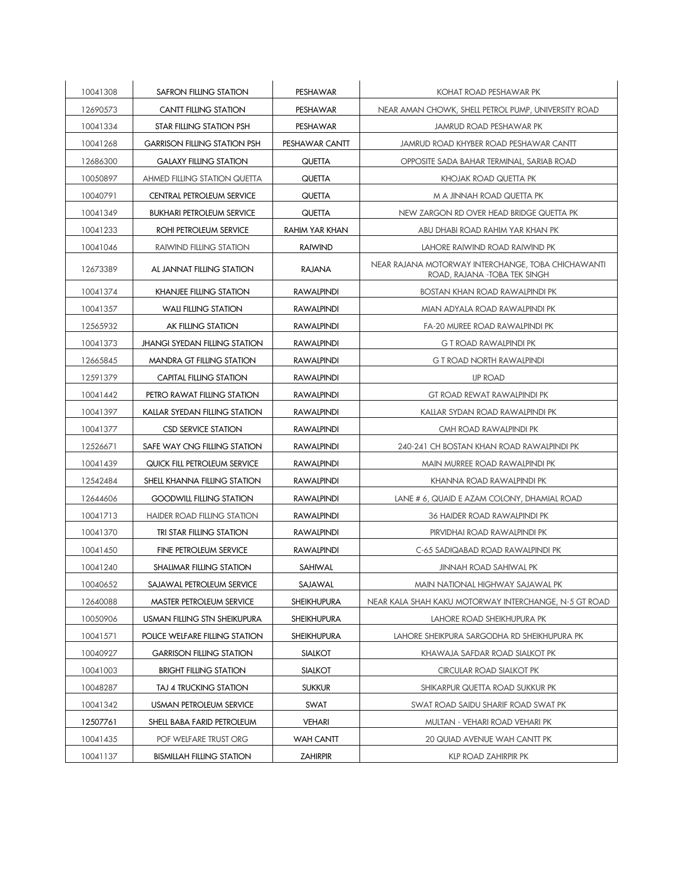| 10041308 | SAFRON FILLING STATION               | PESHAWAR           | KOHAT ROAD PESHAWAR PK                                                             |
|----------|--------------------------------------|--------------------|------------------------------------------------------------------------------------|
| 12690573 | <b>CANTT FILLING STATION</b>         | PESHAWAR           | NEAR AMAN CHOWK, SHELL PETROL PUMP, UNIVERSITY ROAD                                |
| 10041334 | STAR FILLING STATION PSH             | PESHAWAR           | JAMRUD ROAD PESHAWAR PK                                                            |
| 10041268 | <b>GARRISON FILLING STATION PSH</b>  | PESHAWAR CANTT     | JAMRUD ROAD KHYBER ROAD PESHAWAR CANTT                                             |
| 12686300 | <b>GALAXY FILLING STATION</b>        | QUETTA             | OPPOSITE SADA BAHAR TERMINAL, SARIAB ROAD                                          |
| 10050897 | <b>AHMED FILLING STATION QUETTA</b>  | QUETTA             | KHOJAK ROAD QUETTA PK                                                              |
| 10040791 | CENTRAL PETROLEUM SERVICE            | QUETTA             | M A JINNAH ROAD QUETTA PK                                                          |
| 10041349 | <b>BUKHARI PETROLEUM SERVICE</b>     | QUETTA             | NEW ZARGON RD OVER HEAD BRIDGE QUETTA PK                                           |
| 10041233 | ROHI PETROLEUM SERVICE               | RAHIM YAR KHAN     | ABU DHABI ROAD RAHIM YAR KHAN PK                                                   |
| 10041046 | <b>RAIWIND FILLING STATION</b>       | <b>RAIWIND</b>     | LAHORE RAIWIND ROAD RAIWIND PK                                                     |
| 12673389 | AL JANNAT FILLING STATION            | RAJANA             | NEAR RAJANA MOTORWAY INTERCHANGE, TOBA CHICHAWANTI<br>ROAD, RAJANA -TOBA TEK SINGH |
| 10041374 | <b>KHANJEE FILLING STATION</b>       | <b>RAWALPINDI</b>  | <b>BOSTAN KHAN ROAD RAWALPINDI PK</b>                                              |
| 10041357 | <b>WALI FILLING STATION</b>          | <b>RAWALPINDI</b>  | MIAN ADYALA ROAD RAWALPINDI PK                                                     |
| 12565932 | AK FILLING STATION                   | <b>RAWALPINDI</b>  | FA-20 MUREE ROAD RAWALPINDI PK                                                     |
| 10041373 | <b>JHANGI SYEDAN FILLING STATION</b> | <b>RAWALPINDI</b>  | <b>G T ROAD RAWALPINDI PK</b>                                                      |
| 12665845 | <b>MANDRA GT FILLING STATION</b>     | <b>RAWALPINDI</b>  | <b>G T ROAD NORTH RAWALPINDI</b>                                                   |
| 12591379 | CAPITAL FILLING STATION              | <b>RAWALPINDI</b>  | <b>IJP ROAD</b>                                                                    |
| 10041442 | PETRO RAWAT FILLING STATION          | <b>RAWALPINDI</b>  | GT ROAD REWAT RAWALPINDI PK                                                        |
| 10041397 | KALLAR SYEDAN FILLING STATION        | <b>RAWALPINDI</b>  | KALLAR SYDAN ROAD RAWALPINDI PK                                                    |
| 10041377 | <b>CSD SERVICE STATION</b>           | <b>RAWALPINDI</b>  | CMH ROAD RAWALPINDI PK                                                             |
| 12526671 | SAFE WAY CNG FILLING STATION         | <b>RAWALPINDI</b>  | 240-241 CH BOSTAN KHAN ROAD RAWALPINDI PK                                          |
| 10041439 | QUICK FILL PETROLEUM SERVICE         | <b>RAWALPINDI</b>  | MAIN MURREE ROAD RAWALPINDI PK                                                     |
| 12542484 | SHELL KHANNA FILLING STATION         | <b>RAWALPINDI</b>  | KHANNA ROAD RAWALPINDI PK                                                          |
| 12644606 | <b>GOODWILL FILLING STATION</b>      | <b>RAWALPINDI</b>  | LANE # 6, QUAID E AZAM COLONY, DHAMIAL ROAD                                        |
| 10041713 | <b>HAIDER ROAD FILLING STATION</b>   | <b>RAWALPINDI</b>  | <b>36 HAIDER ROAD RAWALPINDI PK</b>                                                |
| 10041370 | TRI STAR FILLING STATION             | <b>RAWALPINDI</b>  | PIRVIDHAI ROAD RAWALPINDI PK                                                       |
| 10041450 | <b>FINE PETROLEUM SERVICE</b>        | <b>RAWALPINDI</b>  | C-65 SADIQABAD ROAD RAWALPINDI PK                                                  |
| 10041240 | SHALIMAR FILLING STATION             | SAHIWAL            | <b>JINNAH ROAD SAHIWAL PK</b>                                                      |
| 10040652 | SAJAWAL PETROLEUM SERVICE            | SAJAWAL            | MAIN NATIONAL HIGHWAY SAJAWAL PK                                                   |
| 12640088 | MASTER PETROLEUM SERVICE             | <b>SHEIKHUPURA</b> | NEAR KALA SHAH KAKU MOTORWAY INTERCHANGE, N-5 GT ROAD                              |
| 10050906 | USMAN FILLING STN SHEIKUPURA         | <b>SHEIKHUPURA</b> | LAHORE ROAD SHEIKHUPURA PK                                                         |
| 10041571 | POLICE WELFARE FILLING STATION       | <b>SHEIKHUPURA</b> | LAHORE SHEIKPURA SARGODHA RD SHEIKHUPURA PK                                        |
| 10040927 | <b>GARRISON FILLING STATION</b>      | <b>SIALKOT</b>     | KHAWAJA SAFDAR ROAD SIALKOT PK                                                     |
| 10041003 | <b>BRIGHT FILLING STATION</b>        | <b>SIALKOT</b>     | CIRCULAR ROAD SIALKOT PK                                                           |
| 10048287 | TAJ 4 TRUCKING STATION               | <b>SUKKUR</b>      | SHIKARPUR QUETTA ROAD SUKKUR PK                                                    |
| 10041342 | USMAN PETROLEUM SERVICE              | SWAT               | SWAT ROAD SAIDU SHARIF ROAD SWAT PK                                                |
| 12507761 | SHELL BABA FARID PETROLEUM           | VEHARI             | MULTAN - VEHARI ROAD VEHARI PK                                                     |
| 10041435 | POF WELFARE TRUST ORG                | <b>WAH CANTT</b>   | 20 QUIAD AVENUE WAH CANTT PK                                                       |
| 10041137 | <b>BISMILLAH FILLING STATION</b>     | <b>ZAHIRPIR</b>    | KLP ROAD ZAHIRPIR PK                                                               |